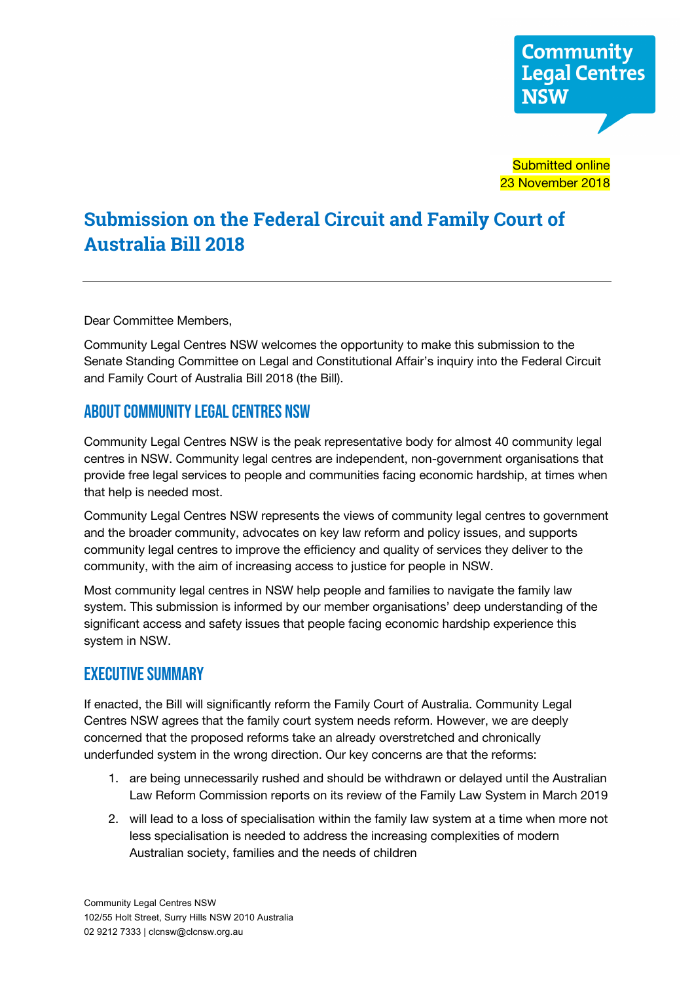

**Submitted online** 23 November 2018

# **Submission on the Federal Circuit and Family Court of Australia Bill 2018**

Dear Committee Members,

Community Legal Centres NSW welcomes the opportunity to make this submission to the Senate Standing Committee on Legal and Constitutional Affair's inquiry into the Federal Circuit and Family Court of Australia Bill 2018 (the Bill).

## About Community Legal Centres NSW

Community Legal Centres NSW is the peak representative body for almost 40 community legal centres in NSW. Community legal centres are independent, non-government organisations that provide free legal services to people and communities facing economic hardship, at times when that help is needed most.

Community Legal Centres NSW represents the views of community legal centres to government and the broader community, advocates on key law reform and policy issues, and supports community legal centres to improve the efficiency and quality of services they deliver to the community, with the aim of increasing access to justice for people in NSW.

Most community legal centres in NSW help people and families to navigate the family law system. This submission is informed by our member organisations' deep understanding of the significant access and safety issues that people facing economic hardship experience this system in NSW.

## Executive summary

If enacted, the Bill will significantly reform the Family Court of Australia. Community Legal Centres NSW agrees that the family court system needs reform. However, we are deeply concerned that the proposed reforms take an already overstretched and chronically underfunded system in the wrong direction. Our key concerns are that the reforms:

- 1. are being unnecessarily rushed and should be withdrawn or delayed until the Australian Law Reform Commission reports on its review of the Family Law System in March 2019
- 2. will lead to a loss of specialisation within the family law system at a time when more not less specialisation is needed to address the increasing complexities of modern Australian society, families and the needs of children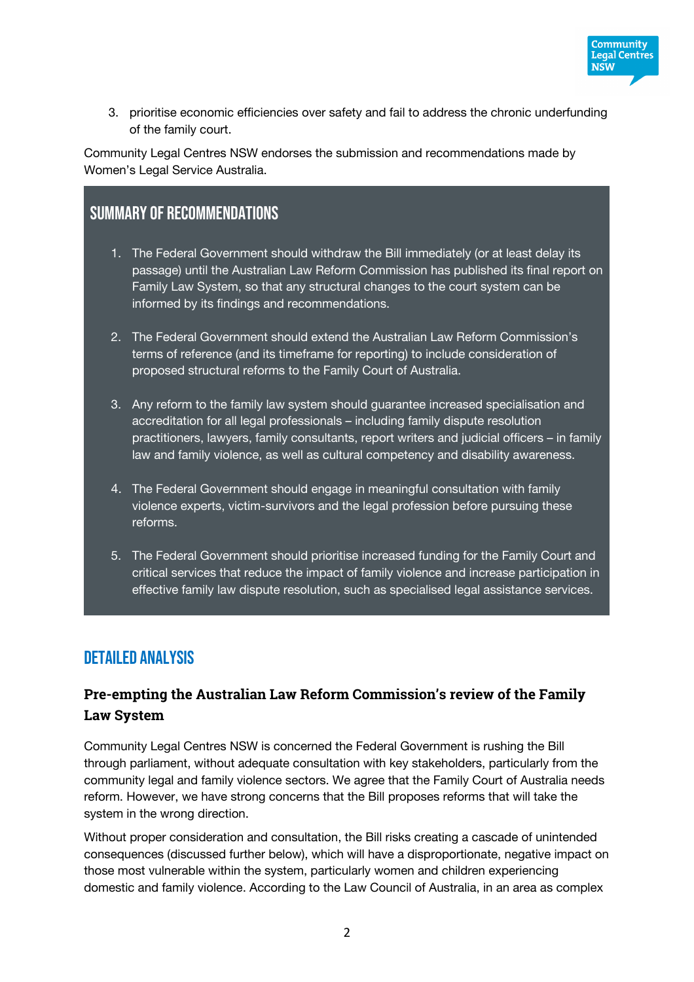

3. prioritise economic efficiencies over safety and fail to address the chronic underfunding of the family court.

Community Legal Centres NSW endorses the submission and recommendations made by Women's Legal Service Australia.

## SUMMARY OF RECOMMENDATIONS

- 1. The Federal Government should withdraw the Bill immediately (or at least delay its passage) until the Australian Law Reform Commission has published its final report on Family Law System, so that any structural changes to the court system can be informed by its findings and recommendations.
- 2. The Federal Government should extend the Australian Law Reform Commission's terms of reference (and its timeframe for reporting) to include consideration of proposed structural reforms to the Family Court of Australia.
- 3. Any reform to the family law system should guarantee increased specialisation and accreditation for all legal professionals – including family dispute resolution practitioners, lawyers, family consultants, report writers and judicial officers – in family law and family violence, as well as cultural competency and disability awareness.
- 4. The Federal Government should engage in meaningful consultation with family violence experts, victim-survivors and the legal profession before pursuing these reforms.
- 5. The Federal Government should prioritise increased funding for the Family Court and critical services that reduce the impact of family violence and increase participation in effective family law dispute resolution, such as specialised legal assistance services.

## detailed analysis

## **Pre-empting the Australian Law Reform Commission's review of the Family Law System**

Community Legal Centres NSW is concerned the Federal Government is rushing the Bill through parliament, without adequate consultation with key stakeholders, particularly from the community legal and family violence sectors. We agree that the Family Court of Australia needs reform. However, we have strong concerns that the Bill proposes reforms that will take the system in the wrong direction.

Without proper consideration and consultation, the Bill risks creating a cascade of unintended consequences (discussed further below), which will have a disproportionate, negative impact on those most vulnerable within the system, particularly women and children experiencing domestic and family violence. According to the Law Council of Australia, in an area as complex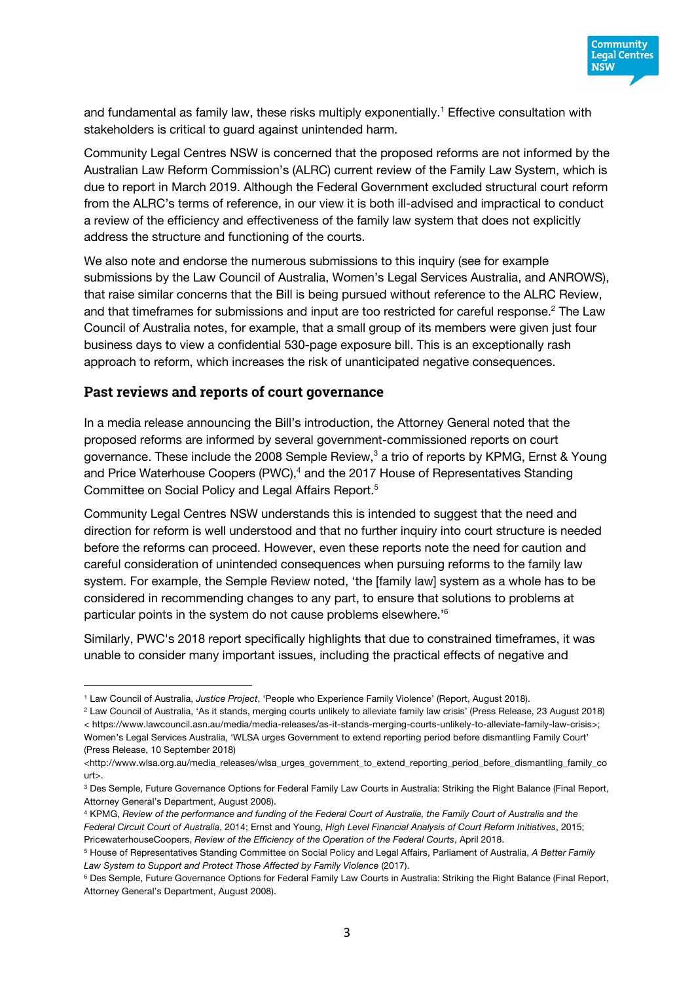

and fundamental as family law, these risks multiply exponentially.<sup>1</sup> Effective consultation with stakeholders is critical to guard against unintended harm.

Community Legal Centres NSW is concerned that the proposed reforms are not informed by the Australian Law Reform Commission's (ALRC) current review of the Family Law System, which is due to report in March 2019. Although the Federal Government excluded structural court reform from the ALRC's terms of reference, in our view it is both ill-advised and impractical to conduct a review of the efficiency and effectiveness of the family law system that does not explicitly address the structure and functioning of the courts.

We also note and endorse the numerous submissions to this inquiry (see for example submissions by the Law Council of Australia, Women's Legal Services Australia, and ANROWS), that raise similar concerns that the Bill is being pursued without reference to the ALRC Review, and that timeframes for submissions and input are too restricted for careful response.<sup>2</sup> The Law Council of Australia notes, for example, that a small group of its members were given just four business days to view a confidential 530-page exposure bill. This is an exceptionally rash approach to reform, which increases the risk of unanticipated negative consequences.

#### **Past reviews and reports of court governance**

 $\overline{a}$ 

In a media release announcing the Bill's introduction, the Attorney General noted that the proposed reforms are informed by several government-commissioned reports on court governance. These include the 2008 Semple Review,<sup>3</sup> a trio of reports by KPMG, Ernst & Young and Price Waterhouse Coopers (PWC),<sup>4</sup> and the 2017 House of Representatives Standing Committee on Social Policy and Legal Affairs Report. 5

Community Legal Centres NSW understands this is intended to suggest that the need and direction for reform is well understood and that no further inquiry into court structure is needed before the reforms can proceed. However, even these reports note the need for caution and careful consideration of unintended consequences when pursuing reforms to the family law system. For example, the Semple Review noted, 'the [family law] system as a whole has to be considered in recommending changes to any part, to ensure that solutions to problems at particular points in the system do not cause problems elsewhere.<sup>16</sup>

Similarly, PWC's 2018 report specifically highlights that due to constrained timeframes, it was unable to consider many important issues, including the practical effects of negative and

<sup>1</sup> Law Council of Australia, *Justice Project*, 'People who Experience Family Violence' (Report, August 2018).

<sup>2</sup> Law Council of Australia, 'As it stands, merging courts unlikely to alleviate family law crisis' (Press Release, 23 August 2018) < https://www.lawcouncil.asn.au/media/media-releases/as-it-stands-merging-courts-unlikely-to-alleviate-family-law-crisis>; Women's Legal Services Australia, 'WLSA urges Government to extend reporting period before dismantling Family Court' (Press Release, 10 September 2018)

<sup>&</sup>lt;http://www.wlsa.org.au/media\_releases/wlsa\_urges\_government\_to\_extend\_reporting\_period\_before\_dismantling\_family\_co urt>.

<sup>3</sup> Des Semple, Future Governance Options for Federal Family Law Courts in Australia: Striking the Right Balance (Final Report, Attorney General's Department, August 2008).

<sup>4</sup> KPMG, *Review of the performance and funding of the Federal Court of Australia, the Family Court of Australia and the Federal Circuit Court of Australia*, 2014; Ernst and Young, *High Level Financial Analysis of Court Reform Initiatives*, 2015; PricewaterhouseCoopers, *Review of the Efficiency of the Operation of the Federal Courts*, April 2018.

<sup>5</sup> House of Representatives Standing Committee on Social Policy and Legal Affairs, Parliament of Australia, *A Better Family Law System to Support and Protect Those Affected by Family Violence* (2017).

<sup>&</sup>lt;sup>6</sup> Des Semple, Future Governance Options for Federal Family Law Courts in Australia: Striking the Right Balance (Final Report, Attorney General's Department, August 2008).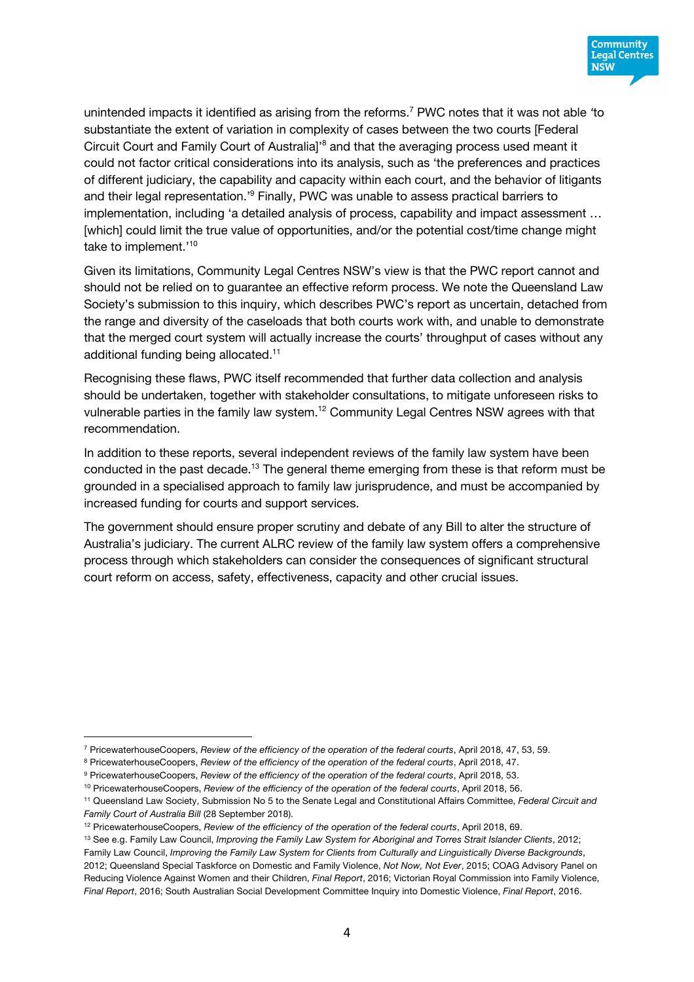

unintended impacts it identified as arising from the reforms. <sup>7</sup> PWC notes that it was not able *'*to substantiate the extent of variation in complexity of cases between the two courts [Federal Circuit Court and Family Court of Australia]<sup>38</sup> and that the averaging process used meant it could not factor critical considerations into its analysis, such as 'the preferences and practices of different judiciary, the capability and capacity within each court, and the behavior of litigants and their legal representation.'9 Finally, PWC was unable to assess practical barriers to implementation, including 'a detailed analysis of process, capability and impact assessment … [which] could limit the true value of opportunities, and/or the potential cost/time change might <sup>10</sup>.'<sup>10</sup> take to implement

Given its limitations, Community Legal Centres NSW's view is that the PWC report cannot and should not be relied on to guarantee an effective reform process. We note the Queensland Law Society's submission to this inquiry, which describes PWC's report as uncertain, detached from the range and diversity of the caseloads that both courts work with, and unable to demonstrate that the merged court system will actually increase the courts' throughput of cases without any additional funding being allocated.<sup>11</sup>

Recognising these flaws, PWC itself recommended that further data collection and analysis should be undertaken, together with stakeholder consultations, to mitigate unforeseen risks to vulnerable parties in the family law system.12 Community Legal Centres NSW agrees with that recommendation.

In addition to these reports, several independent reviews of the family law system have been conducted in the past decade.<sup>13</sup> The general theme emerging from these is that reform must be grounded in a specialised approach to family law jurisprudence, and must be accompanied by increased funding for courts and support services.

The government should ensure proper scrutiny and debate of any Bill to alter the structure of Australia's judiciary. The current ALRC review of the family law system offers a comprehensive process through which stakeholders can consider the consequences of significant structural court reform on access, safety, effectiveness, capacity and other crucial issues.

 $\overline{a}$ 

<sup>7</sup> PricewaterhouseCoopers, *Review of the efficiency of the operation of the federal courts*, April 2018, 47, 53, 59.

<sup>8</sup> PricewaterhouseCoopers, *Review of the efficiency of the operation of the federal courts*, April 2018, 47.

<sup>9</sup> PricewaterhouseCoopers, *Review of the efficiency of the operation of the federal courts*, April 2018, 53.

<sup>10</sup> PricewaterhouseCoopers, *Review of the efficiency of the operation of the federal courts*, April 2018, 56.

<sup>11</sup> Queensland Law Society, Submission No 5 to the Senate Legal and Constitutional Affairs Committee, *Federal Circuit and Family Court of Australia Bill* (28 September 2018).

<sup>12</sup> PricewaterhouseCoopers, *Review of the efficiency of the operation of the federal courts*, April 2018, 69.

<sup>13</sup> See e.g. Family Law Council, *Improving the Family Law System for Aboriginal and Torres Strait Islander Clients*, 2012;

Family Law Council, *Improving the Family Law System for Clients from Culturally and Linguistically Diverse Backgrounds*, 2012; Queensland Special Taskforce on Domestic and Family Violence, *Not Now, Not Ever*, 2015; COAG Advisory Panel on Reducing Violence Against Women and their Children, *Final Report*, 2016; Victorian Royal Commission into Family Violence, *Final Report*, 2016; South Australian Social Development Committee Inquiry into Domestic Violence, *Final Report*, 2016.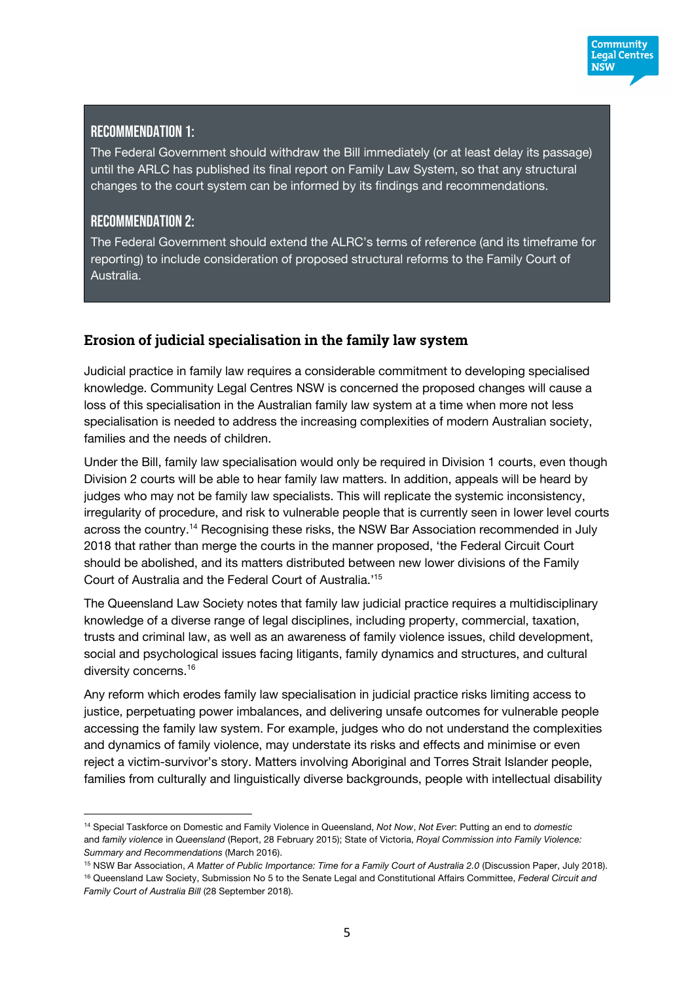

#### Recommendation 1:

The Federal Government should withdraw the Bill immediately (or at least delay its passage) until the ARLC has published its final report on Family Law System, so that any structural changes to the court system can be informed by its findings and recommendations.

#### Recommendation 2:

 $\overline{a}$ 

The Federal Government should extend the ALRC's terms of reference (and its timeframe for reporting) to include consideration of proposed structural reforms to the Family Court of Australia.

## **Erosion of judicial specialisation in the family law system**

Judicial practice in family law requires a considerable commitment to developing specialised knowledge. Community Legal Centres NSW is concerned the proposed changes will cause a loss of this specialisation in the Australian family law system at a time when more not less specialisation is needed to address the increasing complexities of modern Australian society, families and the needs of children.

Under the Bill, family law specialisation would only be required in Division 1 courts, even though Division 2 courts will be able to hear family law matters. In addition, appeals will be heard by judges who may not be family law specialists. This will replicate the systemic inconsistency, irregularity of procedure, and risk to vulnerable people that is currently seen in lower level courts across the country.14 Recognising these risks, the NSW Bar Association recommended in July 2018 that rather than merge the courts in the manner proposed, 'the Federal Circuit Court should be abolished, and its matters distributed between new lower divisions of the Family Court of Australia and the Federal Court of Australia.' 15

The Queensland Law Society notes that family law judicial practice requires a multidisciplinary knowledge of a diverse range of legal disciplines, including property, commercial, taxation, trusts and criminal law, as well as an awareness of family violence issues, child development, social and psychological issues facing litigants, family dynamics and structures, and cultural diversity concerns.16

Any reform which erodes family law specialisation in judicial practice risks limiting access to justice, perpetuating power imbalances, and delivering unsafe outcomes for vulnerable people accessing the family law system. For example, judges who do not understand the complexities and dynamics of family violence, may understate its risks and effects and minimise or even reject a victim-survivor's story. Matters involving Aboriginal and Torres Strait Islander people, families from culturally and linguistically diverse backgrounds, people with intellectual disability

<sup>14</sup> Special Taskforce on Domestic and Family Violence in Queensland, *Not Now*, *Not Ever*: Putting an end to *domestic* and *family violence* in *Queensland* (Report, 28 February 2015); State of Victoria, *Royal Commission into Family Violence: Summary and Recommendations* (March 2016).

<sup>15</sup> NSW Bar Association, *A Matter of Public Importance: Time for a Family Court of Australia 2.0* (Discussion Paper, July 2018). <sup>16</sup> Queensland Law Society, Submission No 5 to the Senate Legal and Constitutional Affairs Committee, *Federal Circuit and Family Court of Australia Bill* (28 September 2018).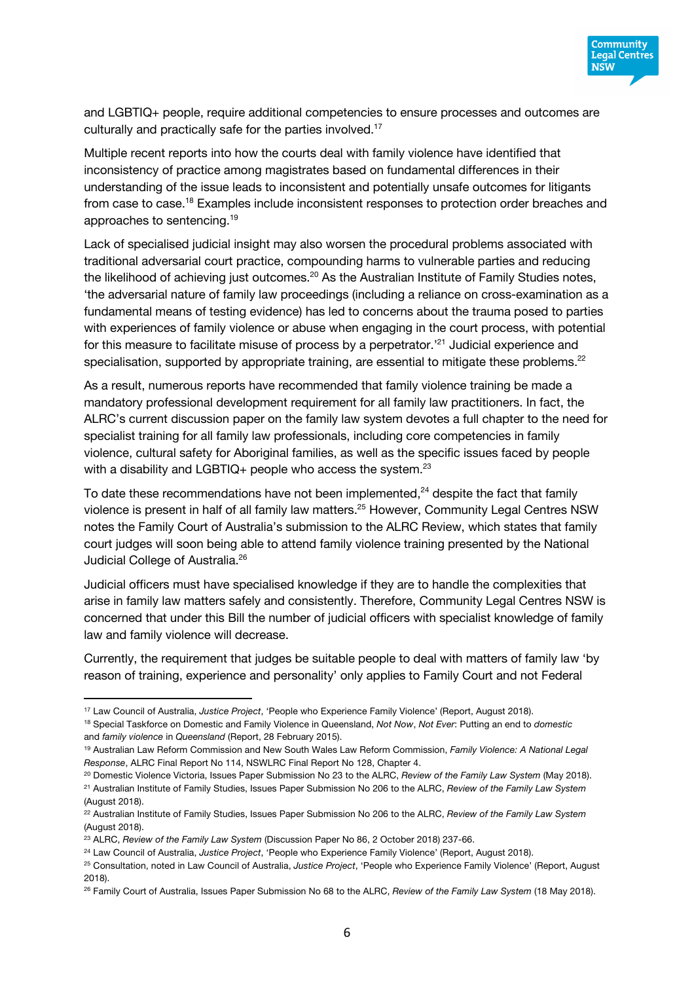

and LGBTIQ+ people, require additional competencies to ensure processes and outcomes are culturally and practically safe for the parties involved.<sup>17</sup>

Multiple recent reports into how the courts deal with family violence have identified that inconsistency of practice among magistrates based on fundamental differences in their understanding of the issue leads to inconsistent and potentially unsafe outcomes for litigants from case to case.18 Examples include inconsistent responses to protection order breaches and approaches to sentencing.19

Lack of specialised judicial insight may also worsen the procedural problems associated with traditional adversarial court practice, compounding harms to vulnerable parties and reducing the likelihood of achieving just outcomes.<sup>20</sup> As the Australian Institute of Family Studies notes, 'the adversarial nature of family law proceedings (including a reliance on cross-examination as a fundamental means of testing evidence) has led to concerns about the trauma posed to parties with experiences of family violence or abuse when engaging in the court process, with potential for this measure to facilitate misuse of process by a perpetrator.<sup>221</sup> Judicial experience and specialisation, supported by appropriate training, are essential to mitigate these problems.<sup>22</sup>

As a result, numerous reports have recommended that family violence training be made a mandatory professional development requirement for all family law practitioners. In fact, the ALRC's current discussion paper on the family law system devotes a full chapter to the need for specialist training for all family law professionals, including core competencies in family violence, cultural safety for Aboriginal families, as well as the specific issues faced by people with a disability and LGBTIQ+ people who access the system. $^{23}$ 

To date these recommendations have not been implemented, $24$  despite the fact that family violence is present in half of all family law matters.<sup>25</sup> However, Community Legal Centres NSW notes the Family Court of Australia's submission to the ALRC Review, which states that family court judges will soon being able to attend family violence training presented by the National Judicial College of Australia.<sup>26</sup>

Judicial officers must have specialised knowledge if they are to handle the complexities that arise in family law matters safely and consistently. Therefore, Community Legal Centres NSW is concerned that under this Bill the number of judicial officers with specialist knowledge of family law and family violence will decrease.

Currently, the requirement that judges be suitable people to deal with matters of family law 'by reason of training, experience and personality' only applies to Family Court and not Federal

<sup>20</sup> Domestic Violence Victoria, Issues Paper Submission No 23 to the ALRC, *Review of the Family Law System* (May 2018). <sup>21</sup> Australian Institute of Family Studies, Issues Paper Submission No 206 to the ALRC, *Review of the Family Law System*

<sup>17</sup> Law Council of Australia, *Justice Project*, 'People who Experience Family Violence' (Report, August 2018).

<sup>18</sup> Special Taskforce on Domestic and Family Violence in Queensland, *Not Now*, *Not Ever*: Putting an end to *domestic* and *family violence* in *Queensland* (Report, 28 February 2015).

<sup>19</sup> Australian Law Reform Commission and New South Wales Law Reform Commission, *Family Violence: A National Legal Response*, ALRC Final Report No 114, NSWLRC Final Report No 128, Chapter 4.

<sup>(</sup>August 2018).

<sup>22</sup> Australian Institute of Family Studies, Issues Paper Submission No 206 to the ALRC, *Review of the Family Law System* (August 2018).

<sup>23</sup> ALRC, *Review of the Family Law System* (Discussion Paper No 86, 2 October 2018) 237-66.

<sup>24</sup> Law Council of Australia, *Justice Project*, 'People who Experience Family Violence' (Report, August 2018).

<sup>25</sup> Consultation, noted in Law Council of Australia, *Justice Project*, 'People who Experience Family Violence' (Report, August 2018).

<sup>26</sup> Family Court of Australia, Issues Paper Submission No 68 to the ALRC, *Review of the Family Law System* (18 May 2018).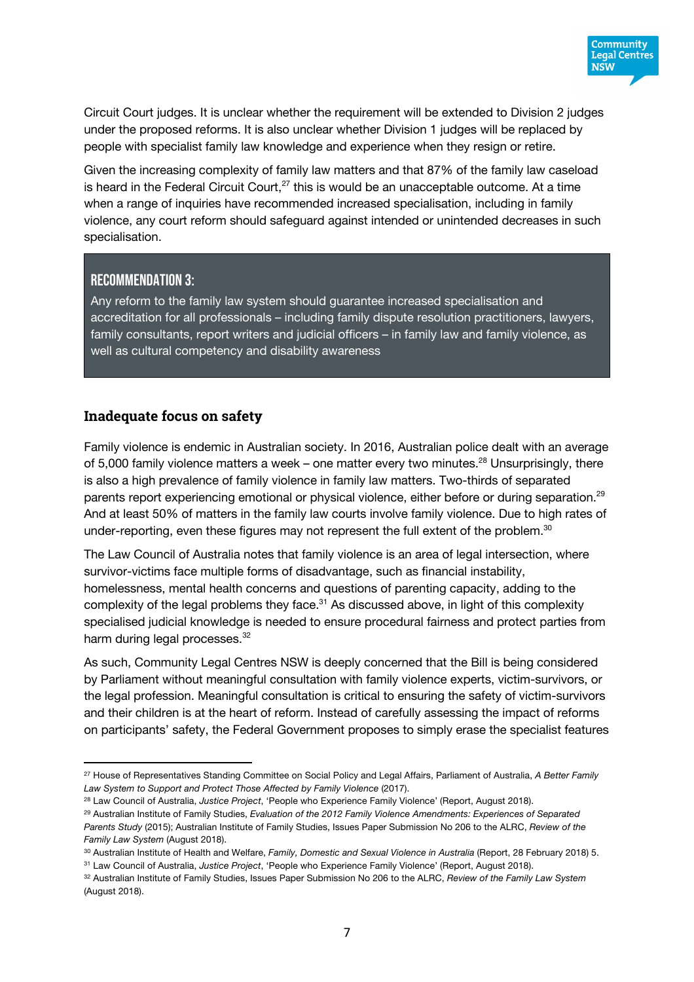

Circuit Court judges. It is unclear whether the requirement will be extended to Division 2 judges under the proposed reforms. It is also unclear whether Division 1 judges will be replaced by people with specialist family law knowledge and experience when they resign or retire.

Given the increasing complexity of family law matters and that 87% of the family law caseload is heard in the Federal Circuit Court,<sup>27</sup> this is would be an unacceptable outcome. At a time when a range of inquiries have recommended increased specialisation, including in family violence, any court reform should safeguard against intended or unintended decreases in such specialisation.

#### Recommendation 3:

 $\overline{a}$ 

Any reform to the family law system should guarantee increased specialisation and accreditation for all professionals – including family dispute resolution practitioners, lawyers, family consultants, report writers and judicial officers – in family law and family violence, as well as cultural competency and disability awareness

#### **Inadequate focus on safety**

Family violence is endemic in Australian society. In 2016, Australian police dealt with an average of 5,000 family violence matters a week – one matter every two minutes.<sup>28</sup> Unsurprisingly, there is also a high prevalence of family violence in family law matters. Two-thirds of separated parents report experiencing emotional or physical violence, either before or during separation.<sup>29</sup> And at least 50% of matters in the family law courts involve family violence. Due to high rates of under-reporting, even these figures may not represent the full extent of the problem.<sup>30</sup>

The Law Council of Australia notes that family violence is an area of legal intersection, where survivor-victims face multiple forms of disadvantage, such as financial instability, homelessness, mental health concerns and questions of parenting capacity, adding to the complexity of the legal problems they face.<sup>31</sup> As discussed above, in light of this complexity specialised judicial knowledge is needed to ensure procedural fairness and protect parties from harm during legal processes.<sup>32</sup>

As such, Community Legal Centres NSW is deeply concerned that the Bill is being considered by Parliament without meaningful consultation with family violence experts, victim-survivors, or the legal profession. Meaningful consultation is critical to ensuring the safety of victim-survivors and their children is at the heart of reform. Instead of carefully assessing the impact of reforms on participants' safety, the Federal Government proposes to simply erase the specialist features

<sup>27</sup> House of Representatives Standing Committee on Social Policy and Legal Affairs, Parliament of Australia, *A Better Family Law System to Support and Protect Those Affected by Family Violence* (2017).

<sup>28</sup> Law Council of Australia, *Justice Project*, 'People who Experience Family Violence' (Report, August 2018).

<sup>29</sup> Australian Institute of Family Studies, *Evaluation of the 2012 Family Violence Amendments: Experiences of Separated Parents Study* (2015); Australian Institute of Family Studies, Issues Paper Submission No 206 to the ALRC, *Review of the Family Law System* (August 2018).

<sup>30</sup> Australian Institute of Health and Welfare, *Family, Domestic and Sexual Violence in Australia* (Report, 28 February 2018) 5.

<sup>31</sup> Law Council of Australia, *Justice Project*, 'People who Experience Family Violence' (Report, August 2018).

<sup>32</sup> Australian Institute of Family Studies, Issues Paper Submission No 206 to the ALRC, *Review of the Family Law System* (August 2018).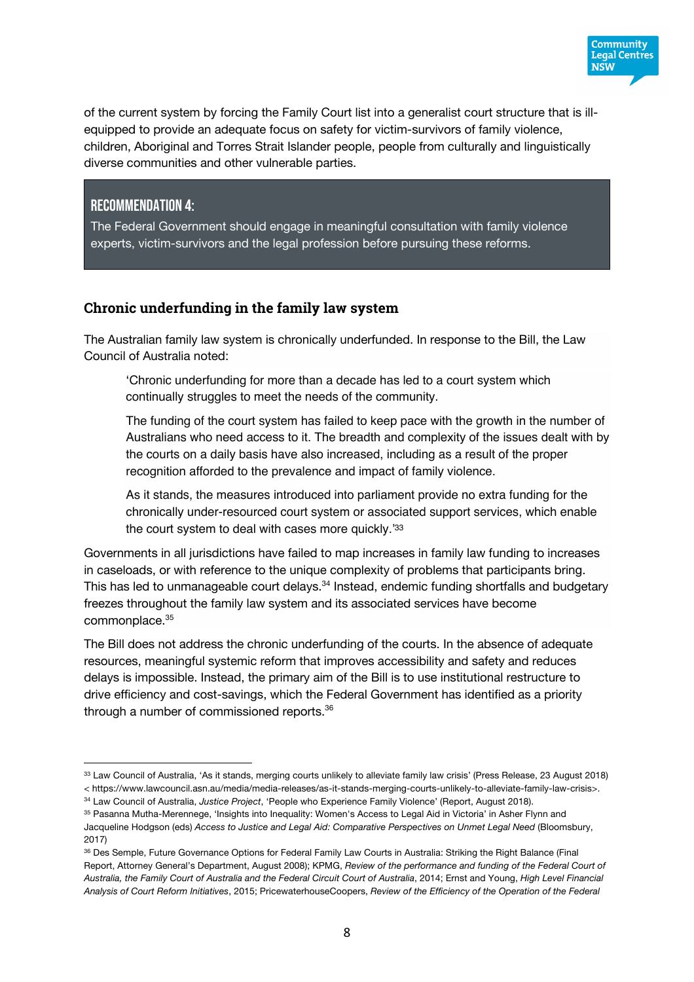

**Community Legal Centres NSW** 

#### Recommendation 4:

 $\overline{a}$ 

The Federal Government should engage in meaningful consultation with family violence experts, victim-survivors and the legal profession before pursuing these reforms.

#### **Chronic underfunding in the family law system**

The Australian family law system is chronically underfunded. In response to the Bill, the Law Council of Australia noted:

'Chronic underfunding for more than a decade has led to a court system which continually struggles to meet the needs of the community.

The funding of the court system has failed to keep pace with the growth in the number of Australians who need access to it. The breadth and complexity of the issues dealt with by the courts on a daily basis have also increased, including as a result of the proper recognition afforded to the prevalence and impact of family violence.

As it stands, the measures introduced into parliament provide no extra funding for the chronically under-resourced court system or associated support services, which enable the court system to deal with cases more quickly.'33

Governments in all jurisdictions have failed to map increases in family law funding to increases in caseloads, or with reference to the unique complexity of problems that participants bring. This has led to unmanageable court delays.<sup>34</sup> Instead, endemic funding shortfalls and budgetary freezes throughout the family law system and its associated services have become commonplace.<sup>35</sup>

The Bill does not address the chronic underfunding of the courts. In the absence of adequate resources, meaningful systemic reform that improves accessibility and safety and reduces delays is impossible. Instead, the primary aim of the Bill is to use institutional restructure to drive efficiency and cost-savings, which the Federal Government has identified as a priority through a number of commissioned reports.<sup>36</sup>

<sup>33</sup> Law Council of Australia, 'As it stands, merging courts unlikely to alleviate family law crisis' (Press Release, 23 August 2018) < https://www.lawcouncil.asn.au/media/media-releases/as-it-stands-merging-courts-unlikely-to-alleviate-family-law-crisis>.

<sup>34</sup> Law Council of Australia, *Justice Project*, 'People who Experience Family Violence' (Report, August 2018).

<sup>35</sup> Pasanna Mutha-Merennege, 'Insights into Inequality: Women's Access to Legal Aid in Victoria' in Asher Flynn and Jacqueline Hodgson (eds) *Access to Justice and Legal Aid: Comparative Perspectives on Unmet Legal Need* (Bloomsbury, 2017)

<sup>36</sup> Des Semple, Future Governance Options for Federal Family Law Courts in Australia: Striking the Right Balance (Final Report, Attorney General's Department, August 2008); KPMG, *Review of the performance and funding of the Federal Court of Australia, the Family Court of Australia and the Federal Circuit Court of Australia*, 2014; Ernst and Young, *High Level Financial Analysis of Court Reform Initiatives*, 2015; PricewaterhouseCoopers, *Review of the Efficiency of the Operation of the Federal*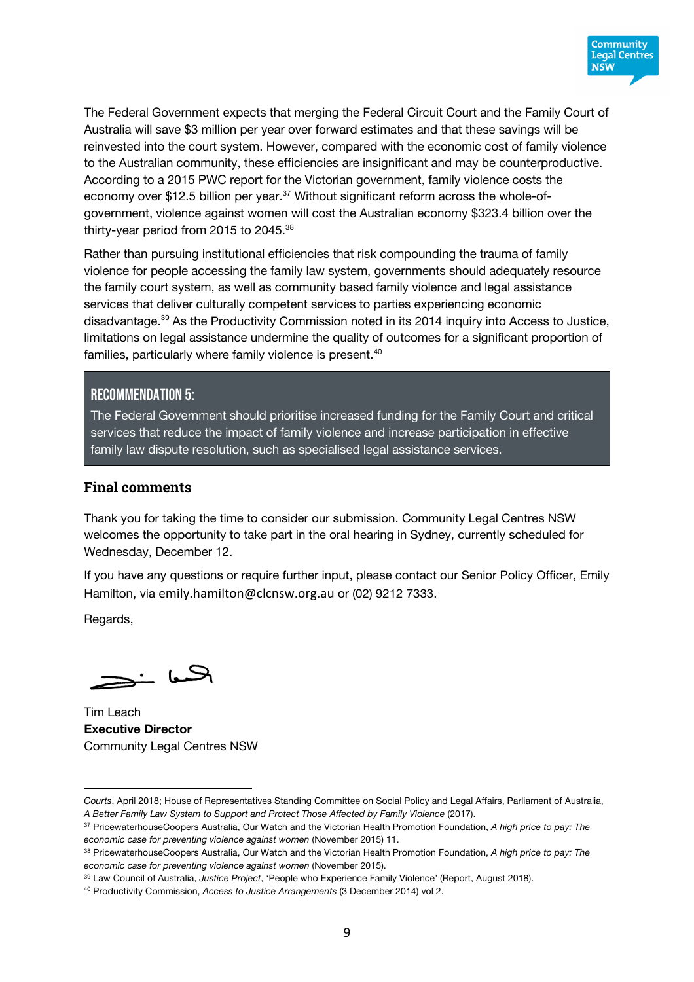

The Federal Government expects that merging the Federal Circuit Court and the Family Court of Australia will save \$3 million per year over forward estimates and that these savings will be reinvested into the court system. However, compared with the economic cost of family violence to the Australian community, these efficiencies are insignificant and may be counterproductive. According to a 2015 PWC report for the Victorian government, family violence costs the economy over \$12.5 billion per year.<sup>37</sup> Without significant reform across the whole-ofgovernment, violence against women will cost the Australian economy \$323.4 billion over the thirty-year period from 2015 to 2045.38

Rather than pursuing institutional efficiencies that risk compounding the trauma of family violence for people accessing the family law system, governments should adequately resource the family court system, as well as community based family violence and legal assistance services that deliver culturally competent services to parties experiencing economic disadvantage.39 As the Productivity Commission noted in its 2014 inquiry into Access to Justice, limitations on legal assistance undermine the quality of outcomes for a significant proportion of families, particularly where family violence is present.<sup>40</sup>

#### Recommendation 5:

The Federal Government should prioritise increased funding for the Family Court and critical services that reduce the impact of family violence and increase participation in effective family law dispute resolution, such as specialised legal assistance services.

#### **Final comments**

Thank you for taking the time to consider our submission. Community Legal Centres NSW welcomes the opportunity to take part in the oral hearing in Sydney, currently scheduled for Wednesday, December 12.

If you have any questions or require further input, please contact our Senior Policy Officer, Emily Hamilton, via emily.hamilton@clcnsw.org.au or (02) 9212 7333.

Regards,

 $\overline{a}$ 

ہا خچ

Tim Leach **Executive Director** Community Legal Centres NSW

*Courts*, April 2018; House of Representatives Standing Committee on Social Policy and Legal Affairs, Parliament of Australia, *A Better Family Law System to Support and Protect Those Affected by Family Violence* (2017).

<sup>37</sup> PricewaterhouseCoopers Australia, Our Watch and the Victorian Health Promotion Foundation, *A high price to pay: The economic case for preventing violence against women* (November 2015) 11.

<sup>38</sup> PricewaterhouseCoopers Australia, Our Watch and the Victorian Health Promotion Foundation, *A high price to pay: The economic case for preventing violence against women* (November 2015).

<sup>39</sup> Law Council of Australia, *Justice Project*, 'People who Experience Family Violence' (Report, August 2018).

<sup>40</sup> Productivity Commission, *Access to Justice Arrangements* (3 December 2014) vol 2.